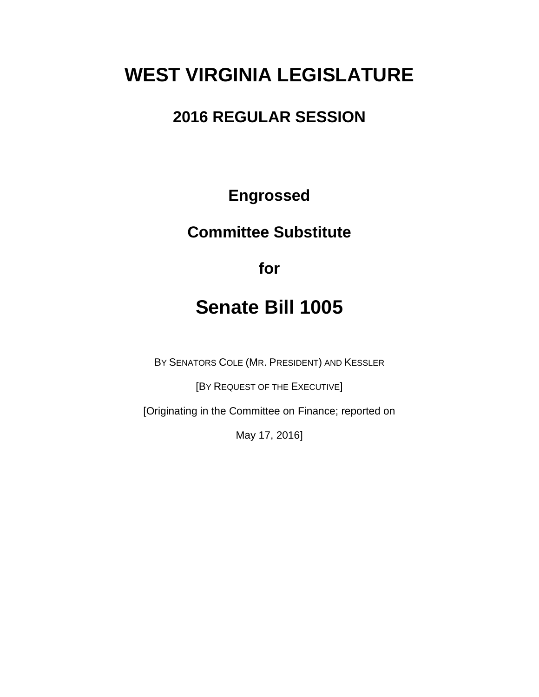# **WEST VIRGINIA LEGISLATURE**

## **2016 REGULAR SESSION**

**Engrossed**

## **Committee Substitute**

**for**

## **Senate Bill 1005**

BY SENATORS COLE (MR. PRESIDENT) AND KESSLER

[BY REQUEST OF THE EXECUTIVE]

[Originating in the Committee on Finance; reported on

May 17, 2016]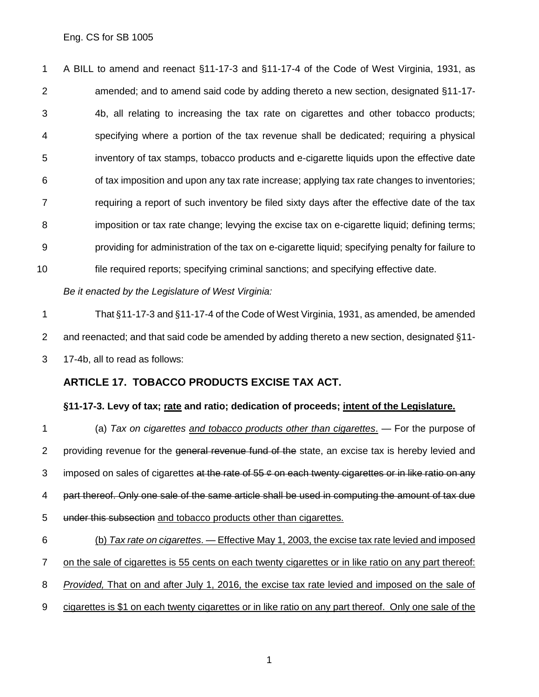A BILL to amend and reenact §11-17-3 and §11-17-4 of the Code of West Virginia, 1931, as amended; and to amend said code by adding thereto a new section, designated §11-17- 4b, all relating to increasing the tax rate on cigarettes and other tobacco products; specifying where a portion of the tax revenue shall be dedicated; requiring a physical inventory of tax stamps, tobacco products and e-cigarette liquids upon the effective date of tax imposition and upon any tax rate increase; applying tax rate changes to inventories; 7 requiring a report of such inventory be filed sixty days after the effective date of the tax 8 imposition or tax rate change; levying the excise tax on e-cigarette liquid; defining terms; providing for administration of the tax on e-cigarette liquid; specifying penalty for failure to file required reports; specifying criminal sanctions; and specifying effective date.

#### *Be it enacted by the Legislature of West Virginia:*

 That §11-17-3 and §11-17-4 of the Code of West Virginia, 1931, as amended, be amended and reenacted; and that said code be amended by adding thereto a new section, designated §11- 17-4b, all to read as follows:

#### **ARTICLE 17. TOBACCO PRODUCTS EXCISE TAX ACT.**

#### **§11-17-3. Levy of tax; rate and ratio; dedication of proceeds; intent of the Legislature.**

 (a) *Tax on cigarettes and tobacco products other than cigarettes*. — For the purpose of 2 providing revenue for the general revenue fund of the state, an excise tax is hereby levied and 3 imposed on sales of cigarettes at the rate of  $55 \div \omega$  on each twenty cigarettes or in like ratio on any part thereof. Only one sale of the same article shall be used in computing the amount of tax due under this subsection and tobacco products other than cigarettes.

 (b) *Tax rate on cigarettes*. — Effective May 1, 2003, the excise tax rate levied and imposed on the sale of cigarettes is 55 cents on each twenty cigarettes or in like ratio on any part thereof: *Provided,* That on and after July 1, 2016, the excise tax rate levied and imposed on the sale of cigarettes is \$1 on each twenty cigarettes or in like ratio on any part thereof. Only one sale of the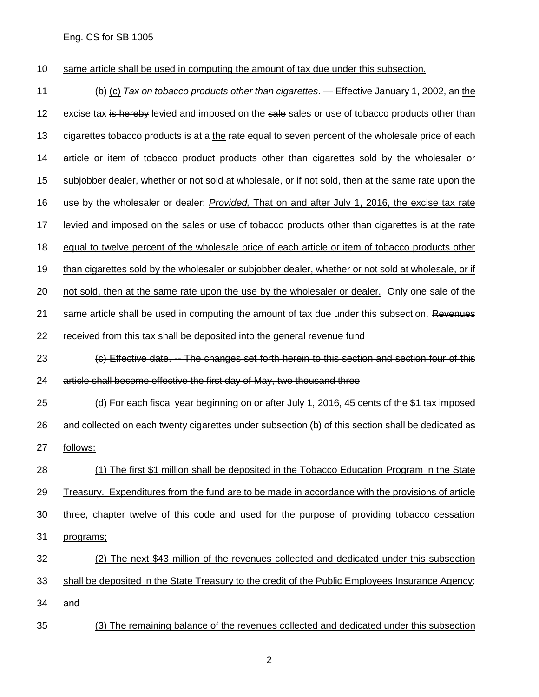same article shall be used in computing the amount of tax due under this subsection.

 (b) (c) *Tax on tobacco products other than cigarettes*. — Effective January 1, 2002, an the 12 excise tax is hereby levied and imposed on the sale sales or use of tobacco products other than 13 cigarettes to bacco products is at a the rate equal to seven percent of the wholesale price of each 14 article or item of tobacco product products other than cigarettes sold by the wholesaler or subjobber dealer, whether or not sold at wholesale, or if not sold, then at the same rate upon the use by the wholesaler or dealer: *Provided,* That on and after July 1, 2016, the excise tax rate levied and imposed on the sales or use of tobacco products other than cigarettes is at the rate equal to twelve percent of the wholesale price of each article or item of tobacco products other 19 than cigarettes sold by the wholesaler or subjobber dealer, whether or not sold at wholesale, or if not sold, then at the same rate upon the use by the wholesaler or dealer. Only one sale of the 21 same article shall be used in computing the amount of tax due under this subsection. Revenues received from this tax shall be deposited into the general revenue fund (c) Effective date. -- The changes set forth herein to this section and section four of this article shall become effective the first day of May, two thousand three (d) For each fiscal year beginning on or after July 1, 2016, 45 cents of the \$1 tax imposed and collected on each twenty cigarettes under subsection (b) of this section shall be dedicated as follows: (1) The first \$1 million shall be deposited in the Tobacco Education Program in the State Treasury. Expenditures from the fund are to be made in accordance with the provisions of article three, chapter twelve of this code and used for the purpose of providing tobacco cessation programs; (2) The next \$43 million of the revenues collected and dedicated under this subsection shall be deposited in the State Treasury to the credit of the Public Employees Insurance Agency; and (3) The remaining balance of the revenues collected and dedicated under this subsection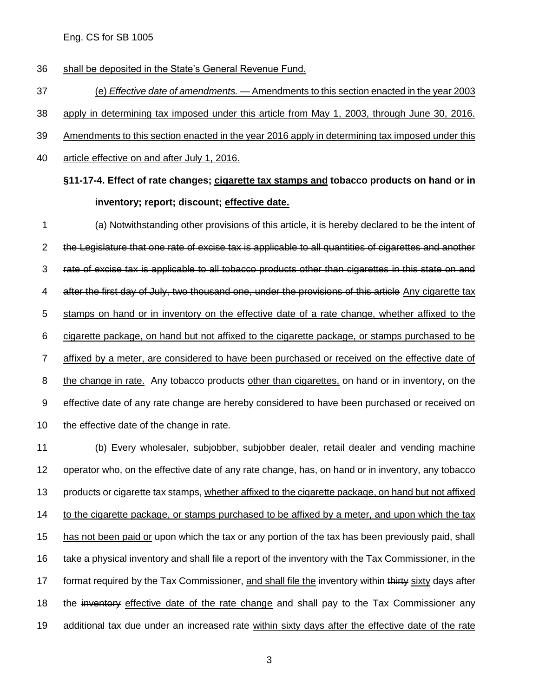shall be deposited in the State's General Revenue Fund.

 (e) *Effective date of amendments.* — Amendments to this section enacted in the year 2003 apply in determining tax imposed under this article from May 1, 2003, through June 30, 2016.

Amendments to this section enacted in the year 2016 apply in determining tax imposed under this

article effective on and after July 1, 2016.

**§11-17-4. Effect of rate changes; cigarette tax stamps and tobacco products on hand or in inventory; report; discount; effective date.**

 (a) Notwithstanding other provisions of this article, it is hereby declared to be the intent of the Legislature that one rate of excise tax is applicable to all quantities of cigarettes and another rate of excise tax is applicable to all tobacco products other than cigarettes in this state on and 4 after the first day of July, two thousand one, under the provisions of this article Any cigarette tax 5 stamps on hand or in inventory on the effective date of a rate change, whether affixed to the cigarette package, on hand but not affixed to the cigarette package, or stamps purchased to be 7 affixed by a meter, are considered to have been purchased or received on the effective date of the change in rate. Any tobacco products other than cigarettes, on hand or in inventory, on the effective date of any rate change are hereby considered to have been purchased or received on 10 the effective date of the change in rate.

 (b) Every wholesaler, subjobber, subjobber dealer, retail dealer and vending machine operator who, on the effective date of any rate change, has, on hand or in inventory, any tobacco products or cigarette tax stamps, whether affixed to the cigarette package, on hand but not affixed to the cigarette package, or stamps purchased to be affixed by a meter, and upon which the tax has not been paid or upon which the tax or any portion of the tax has been previously paid, shall take a physical inventory and shall file a report of the inventory with the Tax Commissioner, in the 17 format required by the Tax Commissioner, and shall file the inventory within thirty sixty days after 18 the inventory effective date of the rate change and shall pay to the Tax Commissioner any additional tax due under an increased rate within sixty days after the effective date of the rate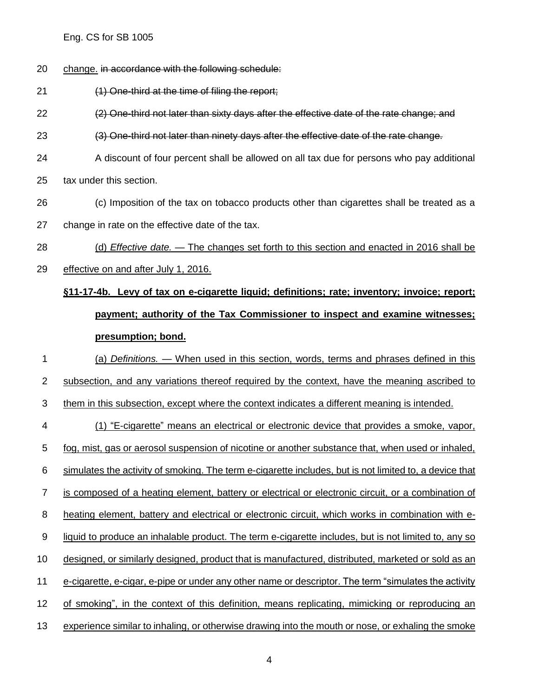- change. in accordance with the following schedule:
- (1) One-third at the time of filing the report;

(2) One-third not later than sixty days after the effective date of the rate change; and

(3) One-third not later than ninety days after the effective date of the rate change.

 A discount of four percent shall be allowed on all tax due for persons who pay additional tax under this section.

- (c) Imposition of the tax on tobacco products other than cigarettes shall be treated as a
- change in rate on the effective date of the tax.
- (d) *Effective date.* The changes set forth to this section and enacted in 2016 shall be
- effective on and after July 1, 2016.

## **§11-17-4b. Levy of tax on e-cigarette liquid; definitions; rate; inventory; invoice; report; payment; authority of the Tax Commissioner to inspect and examine witnesses; presumption; bond.**

 (a) *Definitions.* — When used in this section, words, terms and phrases defined in this subsection, and any variations thereof required by the context, have the meaning ascribed to them in this subsection, except where the context indicates a different meaning is intended. (1) "E-cigarette" means an electrical or electronic device that provides a smoke, vapor, fog, mist, gas or aerosol suspension of nicotine or another substance that, when used or inhaled, simulates the activity of smoking. The term e-cigarette includes, but is not limited to, a device that 7 is composed of a heating element, battery or electrical or electronic circuit, or a combination of heating element, battery and electrical or electronic circuit, which works in combination with e-9 liquid to produce an inhalable product. The term e-cigarette includes, but is not limited to, any so designed, or similarly designed, product that is manufactured, distributed, marketed or sold as an e-cigarette, e-cigar, e-pipe or under any other name or descriptor. The term "simulates the activity of smoking", in the context of this definition, means replicating, mimicking or reproducing an experience similar to inhaling, or otherwise drawing into the mouth or nose, or exhaling the smoke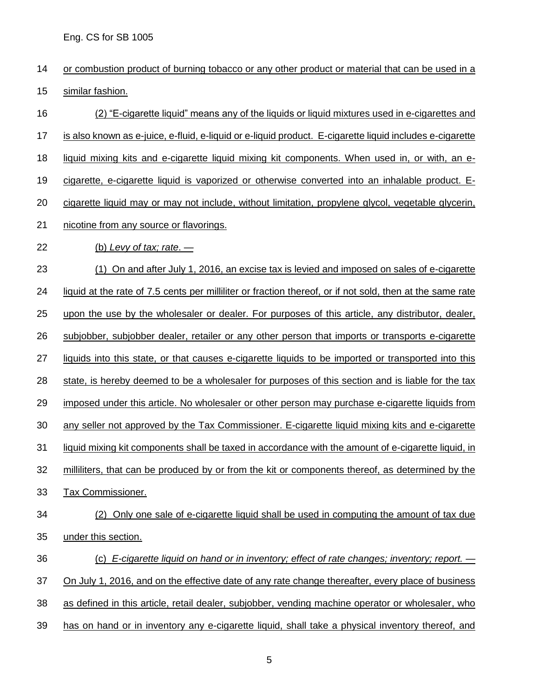- or combustion product of burning tobacco or any other product or material that can be used in a similar fashion.
- (2) "E-cigarette liquid" means any of the liquids or liquid mixtures used in e-cigarettes and is also known as e-juice, e-fluid, e-liquid or e-liquid product. E-cigarette liquid includes e-cigarette liquid mixing kits and e-cigarette liquid mixing kit components. When used in, or with, an e- cigarette, e-cigarette liquid is vaporized or otherwise converted into an inhalable product. E- cigarette liquid may or may not include, without limitation, propylene glycol, vegetable glycerin, nicotine from any source or flavorings. (b) *Levy of tax; rate*. — (1) On and after July 1, 2016, an excise tax is levied and imposed on sales of e-cigarette liquid at the rate of 7.5 cents per milliliter or fraction thereof, or if not sold, then at the same rate upon the use by the wholesaler or dealer. For purposes of this article, any distributor, dealer, 26 subjobber, subjobber dealer, retailer or any other person that imports or transports e-cigarette 27 liquids into this state, or that causes e-cigarette liquids to be imported or transported into this 28 state, is hereby deemed to be a wholesaler for purposes of this section and is liable for the tax imposed under this article. No wholesaler or other person may purchase e-cigarette liquids from any seller not approved by the Tax Commissioner. E-cigarette liquid mixing kits and e-cigarette liquid mixing kit components shall be taxed in accordance with the amount of e-cigarette liquid, in milliliters, that can be produced by or from the kit or components thereof, as determined by the Tax Commissioner. (2) Only one sale of e-cigarette liquid shall be used in computing the amount of tax due under this section. (c) *E-cigarette liquid on hand or in inventory; effect of rate changes; inventory; report.* — On July 1, 2016, and on the effective date of any rate change thereafter, every place of business as defined in this article, retail dealer, subjobber, vending machine operator or wholesaler, who has on hand or in inventory any e-cigarette liquid, shall take a physical inventory thereof, and
	-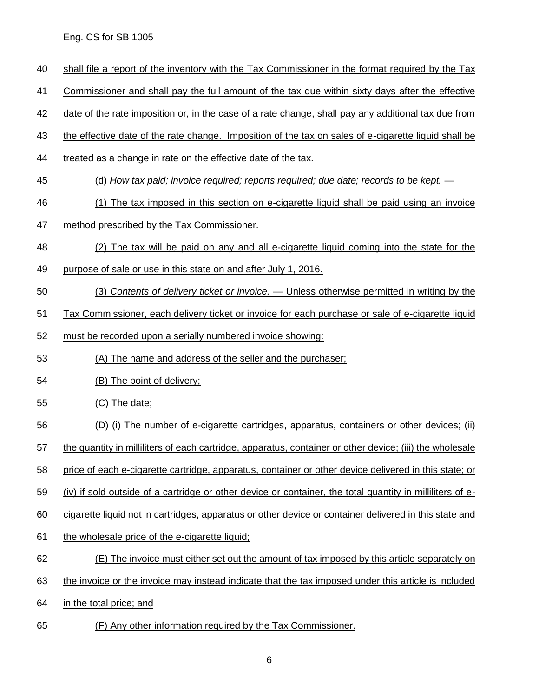- shall file a report of the inventory with the Tax Commissioner in the format required by the Tax
- Commissioner and shall pay the full amount of the tax due within sixty days after the effective

date of the rate imposition or, in the case of a rate change, shall pay any additional tax due from

- the effective date of the rate change. Imposition of the tax on sales of e-cigarette liquid shall be
- treated as a change in rate on the effective date of the tax.
- (d) *How tax paid; invoice required; reports required; due date; records to be kept.* —
- (1) The tax imposed in this section on e-cigarette liquid shall be paid using an invoice
- method prescribed by the Tax Commissioner.
- (2) The tax will be paid on any and all e-cigarette liquid coming into the state for the
- purpose of sale or use in this state on and after July 1, 2016.
- (3) *Contents of delivery ticket or invoice.* Unless otherwise permitted in writing by the
- Tax Commissioner, each delivery ticket or invoice for each purchase or sale of e-cigarette liquid
- must be recorded upon a serially numbered invoice showing:
- (A) The name and address of the seller and the purchaser;
- (B) The point of delivery;
- (C) The date;
- (D) (i) The number of e-cigarette cartridges, apparatus, containers or other devices; (ii)
- the quantity in milliliters of each cartridge, apparatus, container or other device; (iii) the wholesale
- price of each e-cigarette cartridge, apparatus, container or other device delivered in this state; or
- (iv) if sold outside of a cartridge or other device or container, the total quantity in milliliters of e-
- cigarette liquid not in cartridges, apparatus or other device or container delivered in this state and
- 61 the wholesale price of the e-cigarette liquid;
- (E) The invoice must either set out the amount of tax imposed by this article separately on
- the invoice or the invoice may instead indicate that the tax imposed under this article is included
- in the total price; and
- (F) Any other information required by the Tax Commissioner.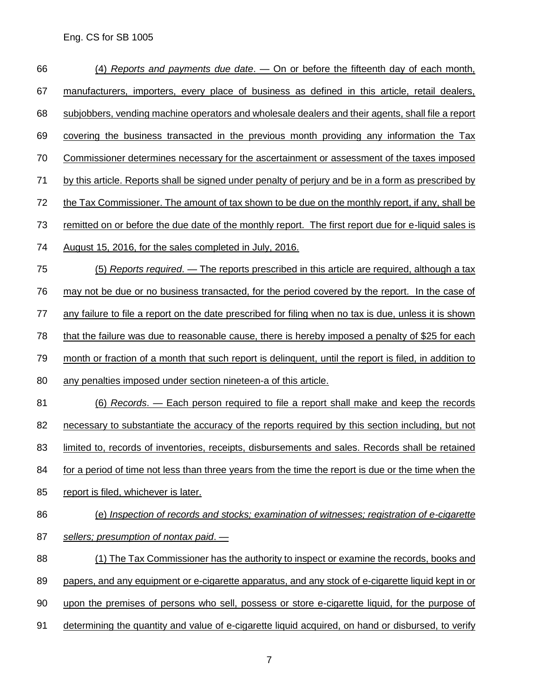| 66 | (4) Reports and payments due date. — On or before the fifteenth day of each month,                          |
|----|-------------------------------------------------------------------------------------------------------------|
| 67 | manufacturers, importers, every place of business as defined in this article, retail dealers,               |
| 68 | subjobbers, vending machine operators and wholesale dealers and their agents, shall file a report           |
| 69 | covering the business transacted in the previous month providing any information the Tax                    |
| 70 | Commissioner determines necessary for the ascertainment or assessment of the taxes imposed                  |
| 71 | by this article. Reports shall be signed under penalty of perjury and be in a form as prescribed by         |
| 72 | <u>the Tax Commissioner. The amount of tax shown to be due on the monthly report, if any, shall be</u>      |
| 73 | <u>remitted on or before the due date of the monthly report. The first report due for e-liquid sales is</u> |
| 74 | August 15, 2016, for the sales completed in July, 2016.                                                     |
| 75 | (5) Reports required. - The reports prescribed in this article are required, although a tax                 |
| 76 | may not be due or no business transacted, for the period covered by the report. In the case of              |
| 77 | any failure to file a report on the date prescribed for filing when no tax is due, unless it is shown       |
| 78 | that the failure was due to reasonable cause, there is hereby imposed a penalty of \$25 for each            |
| 79 | month or fraction of a month that such report is delinguent, until the report is filed, in addition to      |
| 80 | any penalties imposed under section nineteen-a of this article.                                             |
| 81 | <u>(6) Records. — Each person required to file a report shall make and keep the records</u>                 |
| 82 | necessary to substantiate the accuracy of the reports required by this section including, but not           |
| 83 | limited to, records of inventories, receipts, disbursements and sales. Records shall be retained            |
| 84 | for a period of time not less than three years from the time the report is due or the time when the         |
| 85 | report is filed, whichever is later.                                                                        |
| 86 | (e) Inspection of records and stocks; examination of witnesses; registration of e-cigarette                 |
| 87 | sellers; presumption of nontax paid. -                                                                      |
| 88 | (1) The Tax Commissioner has the authority to inspect or examine the records, books and                     |
| 89 | papers, and any equipment or e-cigarette apparatus, and any stock of e-cigarette liquid kept in or          |
| 90 | upon the premises of persons who sell, possess or store e-cigarette liquid, for the purpose of              |
| 91 | determining the quantity and value of e-cigarette liquid acquired, on hand or disbursed, to verify          |
|    |                                                                                                             |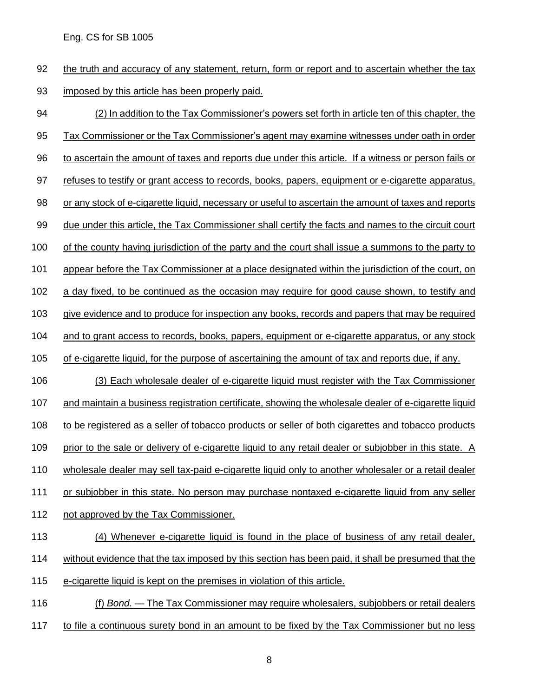the truth and accuracy of any statement, return, form or report and to ascertain whether the tax imposed by this article has been properly paid.

 (2) In addition to the Tax Commissioner's powers set forth in article ten of this chapter, the Tax Commissioner or the Tax Commissioner's agent may examine witnesses under oath in order to ascertain the amount of taxes and reports due under this article. If a witness or person fails or refuses to testify or grant access to records, books, papers, equipment or e-cigarette apparatus, 98 or any stock of e-cigarette liquid, necessary or useful to ascertain the amount of taxes and reports due under this article, the Tax Commissioner shall certify the facts and names to the circuit court of the county having jurisdiction of the party and the court shall issue a summons to the party to 101 appear before the Tax Commissioner at a place designated within the jurisdiction of the court, on a day fixed, to be continued as the occasion may require for good cause shown, to testify and 103 give evidence and to produce for inspection any books, records and papers that may be required and to grant access to records, books, papers, equipment or e-cigarette apparatus, or any stock 105 of e-cigarette liquid, for the purpose of ascertaining the amount of tax and reports due, if any. (3) Each wholesale dealer of e-cigarette liquid must register with the Tax Commissioner and maintain a business registration certificate, showing the wholesale dealer of e-cigarette liquid to be registered as a seller of tobacco products or seller of both cigarettes and tobacco products 109 prior to the sale or delivery of e-cigarette liquid to any retail dealer or subjobber in this state. A wholesale dealer may sell tax-paid e-cigarette liquid only to another wholesaler or a retail dealer 111 or subjobber in this state. No person may purchase nontaxed e-cigarette liquid from any seller not approved by the Tax Commissioner. (4) Whenever e-cigarette liquid is found in the place of business of any retail dealer, without evidence that the tax imposed by this section has been paid, it shall be presumed that the e-cigarette liquid is kept on the premises in violation of this article. (f) *Bond*. — The Tax Commissioner may require wholesalers, subjobbers or retail dealers

to file a continuous surety bond in an amount to be fixed by the Tax Commissioner but no less